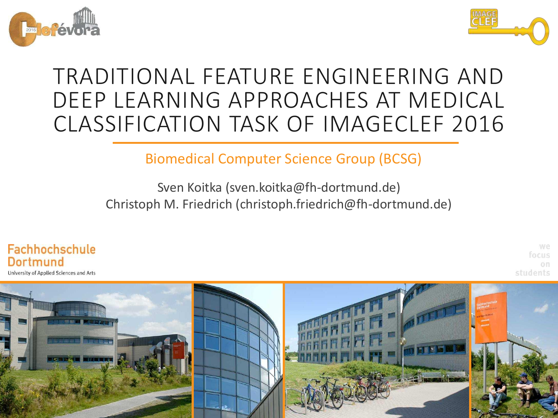



## TRADITIONAL FEATURE ENGINEERING AND DEEP LEARNING APPROACHES AT MEDICAL CLASSIFICATION TASK OF IMAGECLEF 2016

Biomedical Computer Science Group (BCSG)

Sven Koitka (sven.koitka@fh-dortmund.de) Christoph M. Friedrich (christoph.friedrich@fh-dortmund.de)



we focus on students

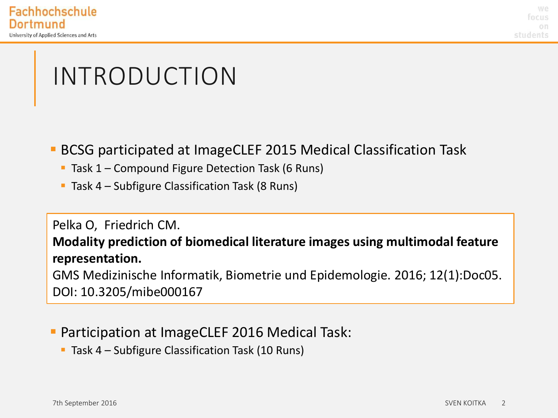## INTRODUCTION

- BCSG participated at ImageCLEF 2015 Medical Classification Task
	- **Task 1 Compound Figure Detection Task (6 Runs)**
	- **Task 4 Subfigure Classification Task (8 Runs)**

#### Pelka O, Friedrich CM.

**Modality prediction of biomedical literature images using multimodal feature representation.** 

GMS Medizinische Informatik, Biometrie und Epidemologie. 2016; 12(1):Doc05. DOI: 10.3205/mibe000167

#### **Participation at ImageCLEF 2016 Medical Task:**

**Task 4 – Subfigure Classification Task (10 Runs)**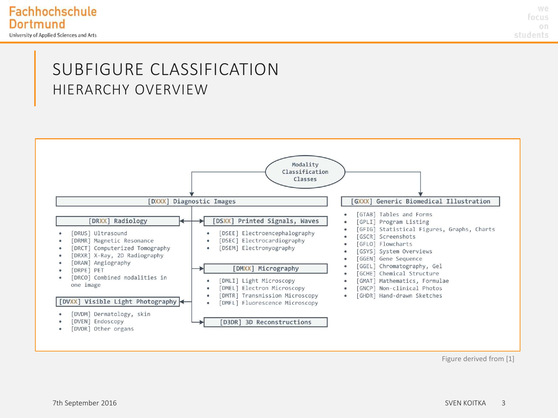#### SUBFIGURE CLASSIFICATION HIERARCHY OVERVIEW



Figure derived from [1]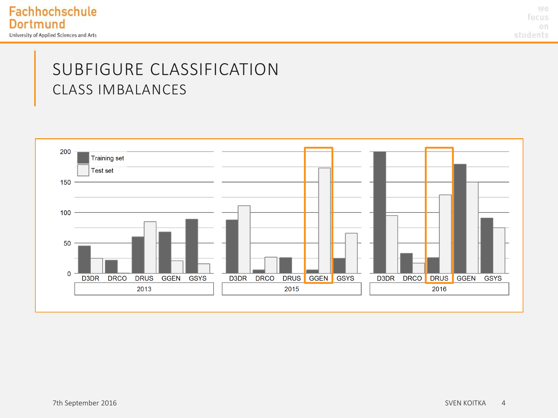we focus on students

#### SUBFIGURE CLASSIFICATION CLASS IMBALANCES

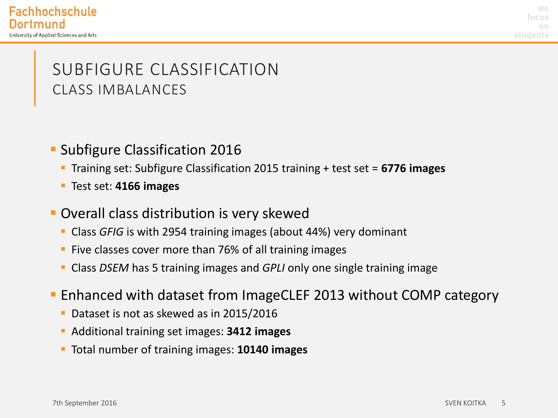we rocus students

### SUBFIGURE CLASSIFICATION CLASS IMBALANCES

#### **Subfigure Classification 2016**

- Training set: Subfigure Classification 2015 training + test set = **6776 images**
- Test set: **4166 images**
- **Overall class distribution is very skewed** 
	- Class *GFIG* is with 2954 training images (about 44%) very dominant
	- **Five classes cover more than 76% of all training images**
	- Class *DSEM* has 5 training images and *GPLI* only one single training image
- Enhanced with dataset from ImageCLEF 2013 without COMP category
	- **Dataset is not as skewed as in 2015/2016**
	- Additional training set images: **3412 images**
	- Total number of training images: **10140 images**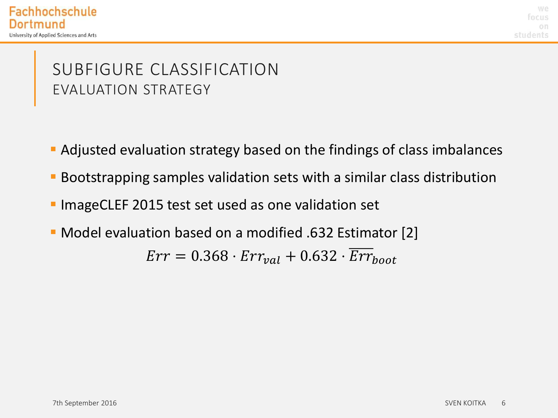we **focus** students

### SUBFIGURE CLASSIFICATION EVALUATION STRATEGY

- Adjusted evaluation strategy based on the findings of class imbalances
- Bootstrapping samples validation sets with a similar class distribution
- **ImageCLEF 2015 test set used as one validation set**
- Model evaluation based on a modified .632 Estimator [2]  $Err = 0.368 \cdot Err_{val} + 0.632 \cdot Err_{boot}$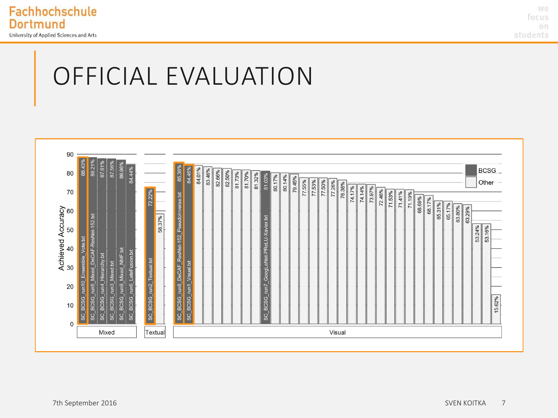

we focus on students

# OFFICIAL EVALUATION

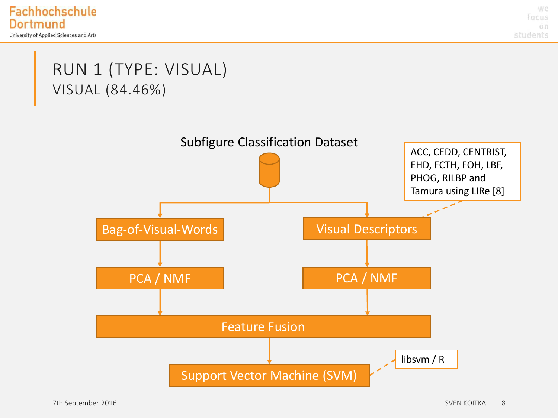

### RUN 1 (TYPE: VISUAL) VISUAL (84.46%)

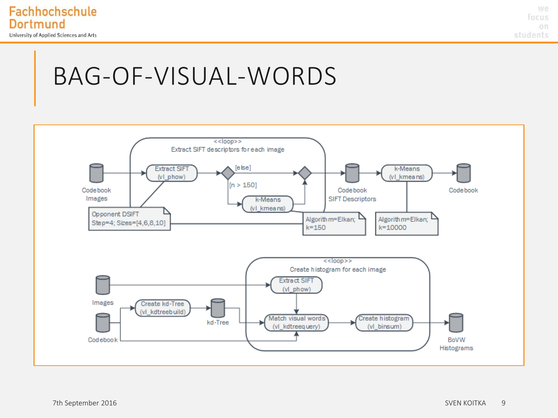

we focus on. students

## BAG-OF-VISUAL-WORDS

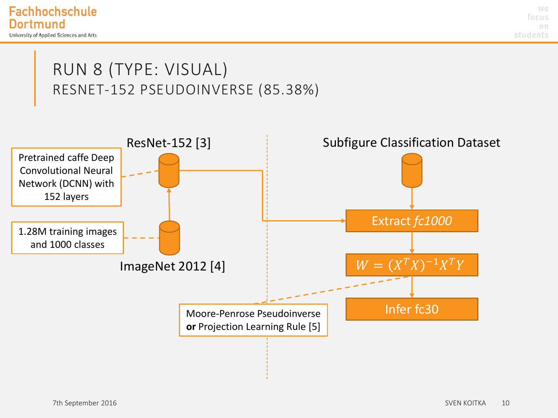

### RUN 8 (TYPE: VISUAL) RESNET-152 PSEUDOINVERSE (85.38%)

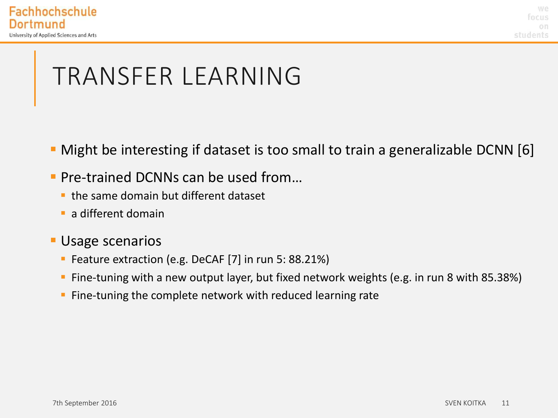# TRANSFER LEARNING

- **Might be interesting if dataset is too small to train a generalizable DCNN [6]**
- Pre-trained DCNNs can be used from...
	- $\blacksquare$  the same domain but different dataset
	- **a** different domain
- Usage scenarios
	- **Feature extraction (e.g. DeCAF [7] in run 5: 88.21%)**
	- Fine-tuning with a new output layer, but fixed network weights (e.g. in run 8 with 85.38%)
	- **Fine-tuning the complete network with reduced learning rate**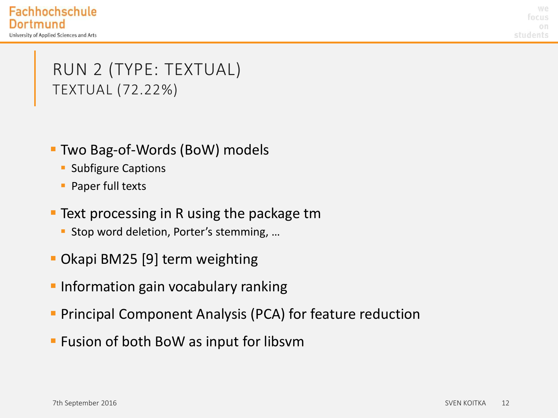we **focus** students

### RUN 2 (TYPE: TEXTUAL) TEXTUAL (72.22%)

- Two Bag-of-Words (BoW) models
	- **Subfigure Captions**
	- **Paper full texts**
- Text processing in R using the package tm
	- **Stop word deletion, Porter's stemming, ...**
- Okapi BM25 [9] term weighting
- **Information gain vocabulary ranking**
- **Principal Component Analysis (PCA) for feature reduction**
- **F** Fusion of both BoW as input for libsvm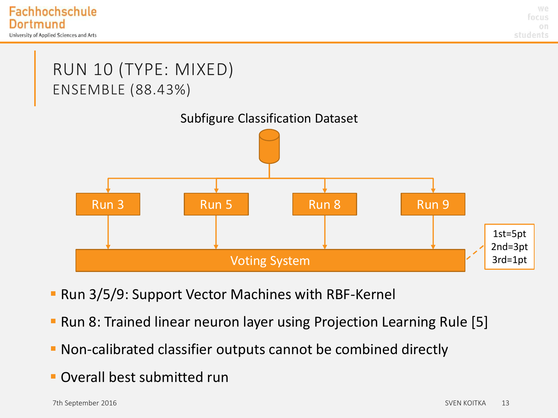### RUN 10 (TYPE: MIXED) ENSEMBLE (88.43%)



- **Run 3/5/9: Support Vector Machines with RBF-Kernel**
- **Run 8: Trained linear neuron layer using Projection Learning Rule [5]**
- Non-calibrated classifier outputs cannot be combined directly
- **Overall best submitted run**

of the September 2016 SVEN KOITKA and the SVEN KOITKA in the SVEN KOITKA and the SVEN KOITKA in the SVEN KOITKA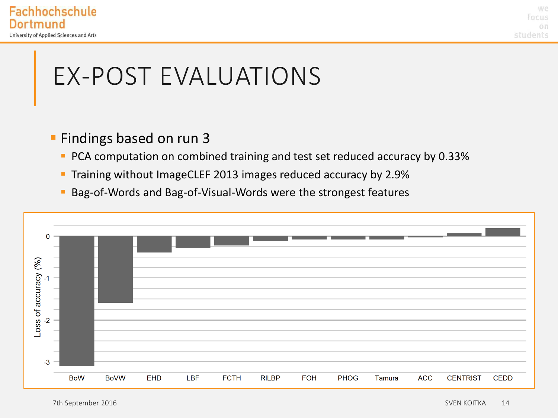

# EX-POST EVALUATIONS

#### **Findings based on run 3**

- **PCA computation on combined training and test set reduced accuracy by 0.33%**
- **Training without ImageCLEF 2013 images reduced accuracy by 2.9%**
- Bag-of-Words and Bag-of-Visual-Words were the strongest features

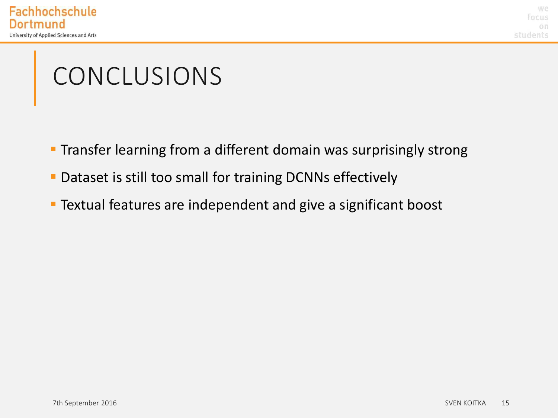# CONCLUSIONS

- **Transfer learning from a different domain was surprisingly strong**
- **Dataset is still too small for training DCNNs effectively**
- **Textual features are independent and give a significant boost**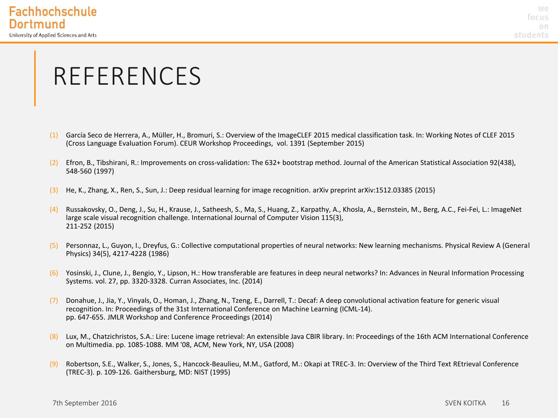## REFERENCES

- (1) García Seco de Herrera, A., Müller, H., Bromuri, S.: Overview of the ImageCLEF 2015 medical classification task. In: Working Notes of CLEF 2015 (Cross Language Evaluation Forum). CEUR Workshop Proceedings, vol. 1391 (September 2015)
- (2) Efron, B., Tibshirani, R.: Improvements on cross-validation: The 632+ bootstrap method. Journal of the American Statistical Association 92(438), 548-560 (1997)
- (3) He, K., Zhang, X., Ren, S., Sun, J.: Deep residual learning for image recognition. arXiv preprint arXiv:1512.03385 (2015)
- (4) Russakovsky, O., Deng, J., Su, H., Krause, J., Satheesh, S., Ma, S., Huang, Z., Karpathy, A., Khosla, A., Bernstein, M., Berg, A.C., Fei-Fei, L.: ImageNet large scale visual recognition challenge. International Journal of Computer Vision 115(3), 211-252 (2015)
- (5) Personnaz, L., Guyon, I., Dreyfus, G.: Collective computational properties of neural networks: New learning mechanisms. Physical Review A (General Physics) 34(5), 4217-4228 (1986)
- (6) Yosinski, J., Clune, J., Bengio, Y., Lipson, H.: How transferable are features in deep neural networks? In: Advances in Neural Information Processing Systems. vol. 27, pp. 3320-3328. Curran Associates, Inc. (2014)
- (7) Donahue, J., Jia, Y., Vinyals, O., Homan, J., Zhang, N., Tzeng, E., Darrell, T.: Decaf: A deep convolutional activation feature for generic visual recognition. In: Proceedings of the 31st International Conference on Machine Learning (ICML-14). pp. 647-655. JMLR Workshop and Conference Proceedings (2014)
- (8) Lux, M., Chatzichristos, S.A.: Lire: Lucene image retrieval: An extensible Java CBIR library. In: Proceedings of the 16th ACM International Conference on Multimedia. pp. 1085-1088. MM '08, ACM, New York, NY, USA (2008)
- (9) Robertson, S.E., Walker, S., Jones, S., Hancock-Beaulieu, M.M., Gatford, M.: Okapi at TREC-3. In: Overview of the Third Text REtrieval Conference (TREC-3). p. 109-126. Gaithersburg, MD: NIST (1995)